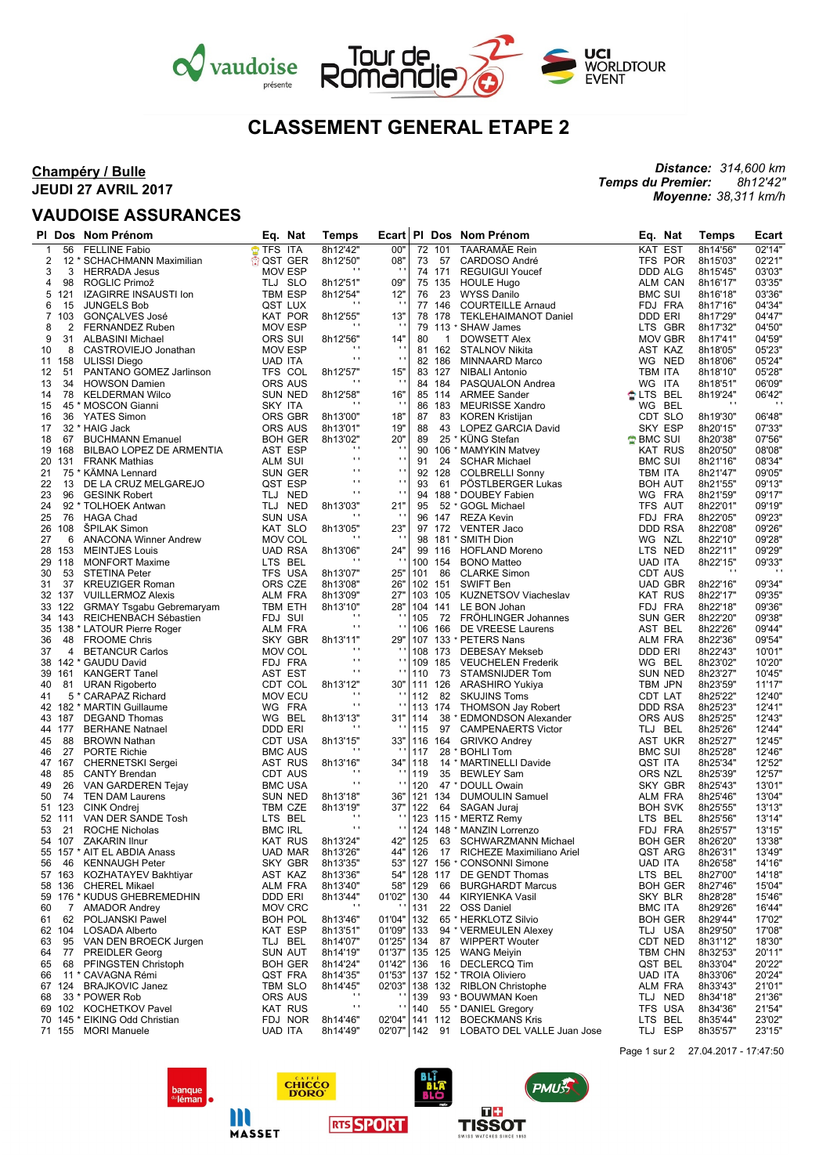

# **CLASSEMENT GENERAL ETAPE 2**

## **Champéry / Bulle JEUDI 27 AVRIL 2017**

## **VAUDOISE ASSURANCES**

#### *Distance: 314,600 km Temps du Premier: 8h12'42" Moyenne: 38,311 km/h*

|                | PI Dos | Nom Prénom                      | Eq.<br>Nat     | Temps          | Ecart          |         |              | PI Dos Nom Prénom            | Eq. Nat         |                | Temps    | Ecart  |
|----------------|--------|---------------------------------|----------------|----------------|----------------|---------|--------------|------------------------------|-----------------|----------------|----------|--------|
| $\mathbf{1}$   | 56     | <b>FELLINE Fabio</b>            | TFS ITA        | 8h12'42"       | 00"            |         | 72 101       | TAARAMÄE Rein                | KAT EST         |                | 8h14'56" | 02'14" |
| 2              |        | 12 * SCHACHMANN Maximilian      | ਿੰ0ST GER      | 8h12'50"       | 08"            | 73      | 57           | CARDOSO André                | TFS POR         |                | 8h15'03" | 02'21" |
| 3              | 3      | <b>HERRADA Jesus</b>            | <b>MOV ESP</b> | $\cdot$        |                |         | 74 171       | <b>REGUIGUI Youcef</b>       | <b>DDD ALG</b>  |                | 8h15'45" | 03'03" |
| 4              | 98     | ROGLIC Primož                   | TLJ SLO        | 8h12'51"       | 09"            |         | 75 135       | <b>HOULE Hugo</b>            | ALM CAN         |                | 8h16'17" | 03'35' |
| 5              | 121    | IZAGIRRE INSAUSTI Ion           | TBM ESP        | 8h12'54"       | 12"            | 76      | 23           | <b>WYSS Danilo</b>           | <b>BMC SUI</b>  |                | 8h16'18" | 03'36' |
| 6              | 15     | <b>JUNGELS Bob</b>              | QST LUX        | $\cdot$        |                |         | 77 146       | <b>COURTEILLE Arnaud</b>     | FDJ FRA         |                | 8h17'16" | 04'34' |
| $\overline{7}$ | 103    | <b>GONÇALVES José</b>           | <b>KAT POR</b> | 8h12'55"       | 13"            |         | 78 178       | <b>TEKLEHAIMANOT Daniel</b>  | DDD ERI         |                | 8h17'29" | 04'47' |
| 8              | 2      | <b>FERNANDEZ Ruben</b>          | <b>MOV ESP</b> | $\blacksquare$ |                | 79      |              | 113 * SHAW James             | LTS GBR         |                | 8h17'32" | 04'50" |
| 9              | 31     | <b>ALBASINI Michael</b>         | ORS SUI        | 8h12'56"       | 14"            | 80      | $\mathbf{1}$ | <b>DOWSETT Alex</b>          | <b>MOV GBR</b>  |                | 8h17'41" | 04'59" |
| 10             | 8      | CASTROVIEJO Jonathan            | <b>MOV ESP</b> | $\cdot$        | $\cdot$        |         |              | 81 162 STALNOV Nikita        | AST KAZ         |                | 8h18'05" | 05'23' |
| 11             | 158    | <b>ULISSI Diego</b>             | <b>UAD ITA</b> | .,             | $\mathbf{r}$ . |         | 82 186       | MINNAARD Marco               | WG NED          |                | 8h18'06" | 05'24" |
| 12             | 51     | PANTANO GOMEZ Jarlinson         | TFS COL        | 8h12'57"       | 15"            |         | 83 127       | <b>NIBALI Antonio</b>        | <b>TBM ITA</b>  |                | 8h18'10" | 05'28" |
| 13             | 34     | <b>HOWSON Damien</b>            | <b>ORS AUS</b> | $\cdot$        | $\cdot$        |         | 84 184       | PASQUALON Andrea             | WG ITA          |                | 8h18'51" | 06'09" |
| 14             | 78     | <b>KELDERMAN Wilco</b>          | <b>SUN NED</b> | 8h12'58"       | 16"            |         | 85 114       | <b>ARMEE Sander</b>          | <b>ALTS BEL</b> |                | 8h19'24" | 06'42" |
| 15             |        | 45 * MOSCON Gianni              | SKY ITA        |                | $\cdot$        |         | 86 183       | <b>MEURISSE Xandro</b>       | WG BEL          |                | $\cdots$ |        |
| 16             | 36     | YATES Simon                     | ORS GBR        | 8h13'00"       | 18"            | 87      | 83           | <b>KOREN Kristijan</b>       | CDT SLO         |                | 8h19'30" | 06'48" |
| 17             |        | 32 * HAIG Jack                  | ORS AUS        | 8h13'01"       | 19"            | 88      | 43           | LOPEZ GARCIA David           | SKY ESP         |                | 8h20'15" | 07'33" |
| 18             | 67     | <b>BUCHMANN Emanuel</b>         | <b>BOH GER</b> | 8h13'02"       | 20"            | 89      |              | 25 * KÜNG Stefan             | ✿ BMC SUI       |                | 8h20'38" | 07'56' |
| 19             | 168    | BILBAO LOPEZ DE ARMENTIA        | AST ESP        | $\cdots$       | $\cdot$        |         |              | 90 106 * MAMYKIN Matvey      | <b>KAT RUS</b>  |                | 8h20'50" | 08'08' |
| 20             | 131    | <b>FRANK Mathias</b>            | ALM SUI        | .,             | $\mathbf{r}$   | 91      | 24           | <b>SCHAR Michael</b>         | <b>BMC SUI</b>  |                | 8h21'16" | 08'34" |
| 21             |        | 75 * KAMNA Lennard              | SUN GER        | $\mathbf{r}$   | $\mathbf{r}$ . |         | 92 128       | <b>COLBRELLI Sonny</b>       | TBM ITA         |                | 8h21'47" | 09'05' |
| 22             | 13     | DE LA CRUZ MELGAREJO            | QST ESP        | $\cdots$       | $\mathbf{r}$ . | 93      | 61           | PÖSTLBERGER Lukas            | <b>BOH AUT</b>  |                | 8h21'55" | 09'13" |
| 23             | 96     | <b>GESINK Robert</b>            | TLJ NED        | $\blacksquare$ | $\cdot$        | 94      |              | 188 * DOUBEY Fabien          | WG FRA          |                | 8h21'59" | 09'17" |
| 24             |        | 92 * TOLHOEK Antwan             | TLJ NED        | 8h13'03"       | 21"            | 95      |              | 52 * GOGL Michael            | TFS AUT         |                | 8h22'01" | 09'19" |
| 25             | 76     | <b>HAGA Chad</b>                | <b>SUN USA</b> | $\cdot$        | $\cdot$        |         |              | 96 147 REZA Kevin            | FDJ FRA         |                | 8h22'05" | 09'23" |
| 26             | 108    | <b>SPILAK Simon</b>             | KAT SLO        | 8h13'05"       | 23"            |         |              | 97 172 VENTER Jaco           | DDD RSA         |                | 8h22'08" | 09'26" |
| 27             | 6      | <b>ANACONA Winner Andrew</b>    | MOV COL        | $\cdot$        |                |         |              | 98 181 * SMITH Dion          | WG NZL          |                | 8h22'10" | 09'28' |
| 28             | 153    | <b>MEINTJES Louis</b>           | <b>UAD RSA</b> | 8h13'06"       | 24"            |         |              | 99 116 HOFLAND Moreno        | LTS NED         |                | 8h22'11" | 09'29" |
| 29             | 118    | <b>MONFORT Maxime</b>           | LTS BEL        | .,             |                |         | 100 154      | <b>BONO Matteo</b>           | <b>UAD ITA</b>  |                | 8h22'15" | 09'33" |
| 30             | 53     | <b>STETINA Peter</b>            | TFS USA        | 8h13'07"       | 25"            | 101     | 86           | <b>CLARKE Simon</b>          | <b>CDT AUS</b>  |                |          |        |
| 31             | 37     | <b>KREUZIGER Roman</b>          | ORS CZE        | 8h13'08"       | 26"            |         |              | 102 151 SWIFT Ben            | <b>UAD GBR</b>  |                | 8h22'16" | 09'34" |
|                | 32 137 | <b>VUILLERMOZ Alexis</b>        | <b>ALM FRA</b> | 8h13'09"       | 27"            |         | 103 105      | KUZNETSOV Viacheslav         | <b>KAT RUS</b>  |                | 8h22'17" | 09'35" |
|                | 33 122 | <b>GRMAY Tsgabu Gebremaryam</b> | TBM ETH        | 8h13'10"       | 28"            |         | 104 141      | LE BON Johan                 | FDJ FRA         |                | 8h22'18" | 09'36' |
|                | 34 143 | REICHENBACH Sébastien           | FDJ SUI        | $\cdots$       | $\blacksquare$ | 105     |              | 72 FRÖHLINGER Johannes       | <b>SUN GER</b>  |                | 8h22'20" | 09'38' |
| 35             |        | 138 * LATOUR Pierre Roger       | ALM FRA        | $\mathbf{r}$   | $\blacksquare$ |         | 106 166      | DE VREESE Laurens            | AST BEL         |                | 8h22'26" | 09'44' |
| 36             | 48     | <b>FROOME Chris</b>             | SKY GBR        | 8h13'11"       | 29"            |         |              | 107 133 * PETERS Nans        | <b>ALM FRA</b>  |                | 8h22'36" | 09'54" |
| 37             | 4      | <b>BETANCUR Carlos</b>          | MOV COL        | $\cdots$       | $\mathbf{r}$   |         | 108 173      | <b>DEBESAY Mekseb</b>        | DDD ERI         |                | 8h22'43" | 10'01' |
| 38             |        | 142 * GAUDU David               | FDJ FRA        | $\mathbf{r}$   | $\blacksquare$ |         | 109 185      | <b>VEUCHELEN Frederik</b>    | WG BEL          |                | 8h23'02" | 10'20" |
| 39             | 161    | <b>KANGERT Tanel</b>            | AST EST        | $\mathbf{r}$   | $\blacksquare$ | 110     | 73           | STAMSNIJDER Tom              | <b>SUN NED</b>  |                | 8h23'27" | 10'45' |
| 40             |        | 81 URAN Rigoberto               | CDT COL        | 8h13'12"       | 30"            |         | 111 126      | ARASHIRO Yukiya              | TBM JPN         |                | 8h23'59" | 11'17' |
| 41             |        | 5 * CARAPAZ Richard             | MOV ECU        | $\cdot$        |                | 112     | 82           | <b>SKUJINS Toms</b>          | CDT LAT         |                | 8h25'22" | 12'40" |
|                |        | 42 182 * MARTIN Guillaume       | WG FRA         | $\blacksquare$ | $\cdot$        |         | 113 174      | <b>THOMSON Jay Robert</b>    | <b>DDD RSA</b>  |                | 8h25'23" | 12'41' |
|                | 43 187 | <b>DEGAND Thomas</b>            | WG BEL         | 8h13'13"       | 31"            | 114     |              | 38 * EDMONDSON Alexander     | ORS AUS         |                | 8h25'25" | 12'43' |
|                | 44 177 | <b>BERHANE Natnael</b>          | DDD ERI        | $\cdot$        |                | 115     | 97           | <b>CAMPENAERTS Victor</b>    | TLJ BEL         |                | 8h25'26" | 12'44' |
| 45             | 88     | <b>BROWN Nathan</b>             | CDT USA        | 8h13'15"       | 33"            |         |              | 116 164 GRIVKO Andrey        | AST UKR         |                | 8h25'27" | 12'45' |
| 46             | 27     | <b>PORTE Richie</b>             | <b>BMC AUS</b> | $\cdots$       | $\blacksquare$ | 117     |              | 28 * BOHLI Tom               | <b>BMC SUI</b>  |                | 8h25'28" | 12'46' |
| 47             | 167    | <b>CHERNETSKI Sergei</b>        | AST RUS        | 8h13'16"       | 34"            | 118     |              | 14 * MARTINELLI Davide       | QST ITA         |                | 8h25'34" | 12'52" |
| 48             | 85     | <b>CANTY Brendan</b>            | CDT AUS        | $\cdots$       | ٠              | 119     | 35           | BEWLEY Sam                   | ORS NZL         |                | 8h25'39" | 12'57" |
| 49             | 26     | VAN GARDEREN Tejay              | <b>BMC USA</b> | $\mathbf{r}$   | $\cdot$ ,      | 120     |              | 47 * DOULL Owain             |                 | SKY GBR        | 8h25'43" | 13'01  |
| 50             | 74     | <b>TEN DAM Laurens</b>          | <b>SUN NED</b> | 8h13'18"       | 36"            |         | 121 134      | <b>DUMOULIN Samuel</b>       | ALM FRA         |                | 8h25'46" | 13'04" |
|                | 51 123 | CINK Ondrej                     | TBM CZE        | 8h13'19"       | 37"            | 122     |              | 64 SAGAN Juraj               | <b>BOH SVK</b>  |                | 8h25'55" | 13'13" |
|                | 52 111 | VAN DER SANDE Tosh              | LTS BEL        | $\cdots$       | $\blacksquare$ |         |              | 123 115 * MERTZ Remy         | LTS BEL         |                | 8h25'56" | 13'14" |
| 53             | 21     | <b>ROCHE Nicholas</b>           | <b>BMC IRL</b> | $\mathbf{r}$   |                |         |              | 124 148 * MANZIN Lorrenzo    | FDJ FRA         |                | 8h25'57" | 13'15" |
|                |        | 54 107 ZAKARIN Ilnur            | <b>KAT RUS</b> | 8h13'24"       | 42"            | 125     | 63           | SCHWARZMANN Michael          |                 | <b>BOH GER</b> | 8h26'20" | 13'38" |
|                |        | 55 157 * AIT EL ABDIA Anass     | UAD MAR        | 8h13'26"       |                | 44" 126 |              | 17 RICHEZE Maximiliano Ariel |                 | QST ARG        | 8h26'31" | 13'49" |
| 56             | 46     | <b>KENNAUGH Peter</b>           | SKY GBR        | 8h13'35"       | 53"            |         |              | 127 156 * CONSONNI Simone    | <b>UAD ITA</b>  |                | 8h26'58" | 14'16" |
|                | 57 163 | KOZHATAYEV Bakhtiyar            | AST KAZ        | 8h13'36"       | 54"            |         | 128 117      | DE GENDT Thomas              | LTS BEL         |                | 8h27'00" | 14'18" |
| 58             | 136    | <b>CHEREL Mikael</b>            | ALM FRA        | 8h13'40"       | 58"            | 129     | 66           | <b>BURGHARDT Marcus</b>      |                 | <b>BOH GER</b> | 8h27'46" | 15'04" |
|                |        | 59 176 * KUDUS GHEBREMEDHIN     | DDD ERI        | 8h13'44"       | 01'02"         | 130     | 44           | KIRYIENKA Vasil              | SKY BLR         |                | 8h28'28" | 15'46" |
| 60             | 7      | <b>AMADOR Andrey</b>            | MOV CRC        | $\mathbf{r}$   |                | 131     |              | 22 OSS Daniel                | <b>BMC ITA</b>  |                | 8h29'26" | 16'44" |
| 61             | 62     | POLJANSKI Pawel                 | <b>BOH POL</b> | 8h13'46"       | 01'04"         | 132     |              | 65 * HERKLOTZ Silvio         |                 | <b>BOH GER</b> | 8h29'44" | 17'02" |
|                | 62 104 | <b>LOSADA Alberto</b>           | KAT ESP        | 8h13'51"       | 01'09"         | 133     |              | 94 * VERMEULEN Alexey        | TLJ USA         |                | 8h29'50" | 17'08" |
| 63             | 95     | VAN DEN BROECK Jurgen           | TLJ BEL        | 8h14'07"       | 01'25"         | 134     | 87           | <b>WIPPERT Wouter</b>        | CDT NED         |                | 8h31'12" | 18'30" |
| 64             | 77     | <b>PREIDLER Georg</b>           | <b>SUN AUT</b> | 8h14'19"       | 01'37"         |         | 135 125      | <b>WANG Meiyin</b>           |                 | TBM CHN        | 8h32'53" | 20'11" |
| 65             | 68     | PFINGSTEN Christoph             | <b>BOH GER</b> | 8h14'24"       | 01'42"         | 136     | 16           | <b>DECLERCQ Tim</b>          | QST BEL         |                | 8h33'04" | 20'22" |
| 66             |        | 11 * CAVAGNA Rémi               | QST FRA        | 8h14'35"       | 01'53"         |         |              | 137 152 * TROIA Oliviero     | <b>UAD ITA</b>  |                | 8h33'06" | 20'24" |
|                | 67 124 | <b>BRAJKOVIC Janez</b>          | TBM SLO        | 8h14'45"       | 02'03"         |         |              | 138 132 RIBLON Christophe    | <b>ALM FRA</b>  |                | 8h33'43" | 21'01" |
| 68             |        | 33 * POWER Rob                  | ORS AUS        | $\blacksquare$ |                | 139     |              | 93 * BOUWMAN Koen            | TLJ NED         |                | 8h34'18" | 21'36" |
|                | 69 102 | <b>KOCHETKOV Pavel</b>          | <b>KAT RUS</b> | $\mathbf{r}$   | $\cdot$        | 140     |              | 55 * DANIEL Gregory          | TFS USA         |                | 8h34'36" | 21'54" |
|                |        | 70 145 * EIKING Odd Christian   | FDJ NOR        | 8h14'46"       | 02'04"         |         |              | 141 112 BOECKMANS Kris       | LTS BEL         |                | 8h35'44" | 23'02" |
|                | 71 155 | <b>MORI Manuele</b>             | <b>UAD ITA</b> | 8h14'49"       | 02'07"   142   |         | 91           | LOBATO DEL VALLE Juan Jose   | TLJ ESP         |                | 8h35'57" | 23'15" |
|                |        |                                 |                |                |                |         |              |                              |                 |                |          |        |







Page 1 sur 2 27.04.2017 - 17:47:50